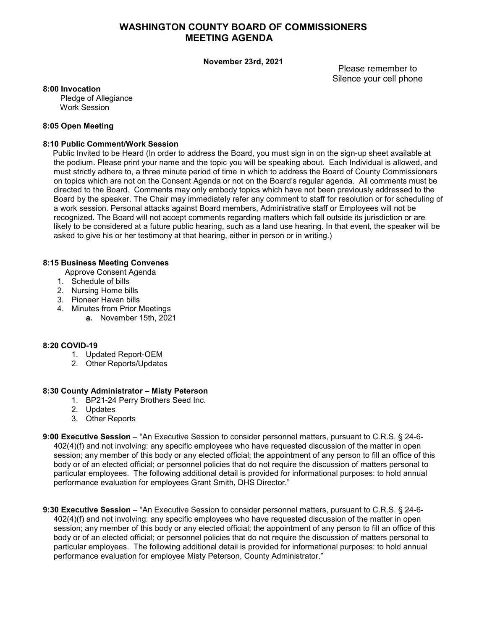## **WASHINGTON COUNTY BOARD OF COMMISSIONERS MEETING AGENDA**

#### **November 23rd, 2021**

Please remember to Silence your cell phone

#### **8:00 Invocation**

 Pledge of Allegiance Work Session

### **8:05 Open Meeting**

### **8:10 Public Comment/Work Session**

Public Invited to be Heard (In order to address the Board, you must sign in on the sign-up sheet available at the podium. Please print your name and the topic you will be speaking about. Each Individual is allowed, and must strictly adhere to, a three minute period of time in which to address the Board of County Commissioners on topics which are not on the Consent Agenda or not on the Board's regular agenda. All comments must be directed to the Board. Comments may only embody topics which have not been previously addressed to the Board by the speaker. The Chair may immediately refer any comment to staff for resolution or for scheduling of a work session. Personal attacks against Board members, Administrative staff or Employees will not be recognized. The Board will not accept comments regarding matters which fall outside its jurisdiction or are likely to be considered at a future public hearing, such as a land use hearing. In that event, the speaker will be asked to give his or her testimony at that hearing, either in person or in writing.)

### **8:15 Business Meeting Convenes**

- Approve Consent Agenda
- 1. Schedule of bills
- 2. Nursing Home bills
- 3. Pioneer Haven bills
- 4. Minutes from Prior Meetings
	- **a.** November 15th, 2021

## **8:20 COVID-19**

- 1. Updated Report-OEM
- 2. Other Reports/Updates

### **8:30 County Administrator – Misty Peterson**

- 1. BP21-24 Perry Brothers Seed Inc.
- 2. Updates
- 3. Other Reports
- **9:00 Executive Session** "An Executive Session to consider personnel matters, pursuant to C.R.S. § 24-6- 402(4)(f) and not involving: any specific employees who have requested discussion of the matter in open session; any member of this body or any elected official; the appointment of any person to fill an office of this body or of an elected official; or personnel policies that do not require the discussion of matters personal to particular employees. The following additional detail is provided for informational purposes: to hold annual performance evaluation for employees Grant Smith, DHS Director."

**9:30 Executive Session** – "An Executive Session to consider personnel matters, pursuant to C.R.S. § 24-6- 402(4)(f) and not involving: any specific employees who have requested discussion of the matter in open session; any member of this body or any elected official; the appointment of any person to fill an office of this body or of an elected official; or personnel policies that do not require the discussion of matters personal to particular employees. The following additional detail is provided for informational purposes: to hold annual performance evaluation for employee Misty Peterson, County Administrator."